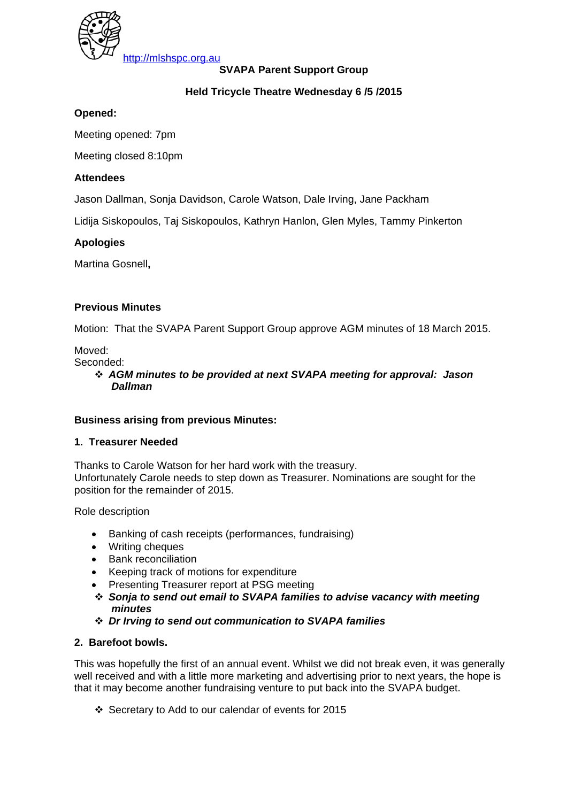

**SVAPA Parent Support Group** 

# **Held Tricycle Theatre Wednesday 6 /5 /2015**

# **Opened:**

Meeting opened: 7pm

Meeting closed 8:10pm

# **Attendees**

Jason Dallman, Sonja Davidson, Carole Watson, Dale Irving, Jane Packham

Lidija Siskopoulos, Taj Siskopoulos, Kathryn Hanlon, Glen Myles, Tammy Pinkerton

# **Apologies**

Martina Gosnell**,** 

# **Previous Minutes**

Motion: That the SVAPA Parent Support Group approve AGM minutes of 18 March 2015.

# Moved:

Seconded:

 *AGM minutes to be provided at next SVAPA meeting for approval: Jason Dallman* 

# **Business arising from previous Minutes:**

# **1. Treasurer Needed**

Thanks to Carole Watson for her hard work with the treasury. Unfortunately Carole needs to step down as Treasurer. Nominations are sought for the position for the remainder of 2015.

Role description

- Banking of cash receipts (performances, fundraising)
- Writing cheques
- Bank reconciliation
- Keeping track of motions for expenditure
- Presenting Treasurer report at PSG meeting
- *Sonja to send out email to SVAPA families to advise vacancy with meeting minutes*
- *Dr Irving to send out communication to SVAPA families*

# **2. Barefoot bowls.**

This was hopefully the first of an annual event. Whilst we did not break even, it was generally well received and with a little more marketing and advertising prior to next years, the hope is that it may become another fundraising venture to put back into the SVAPA budget.

Secretary to Add to our calendar of events for 2015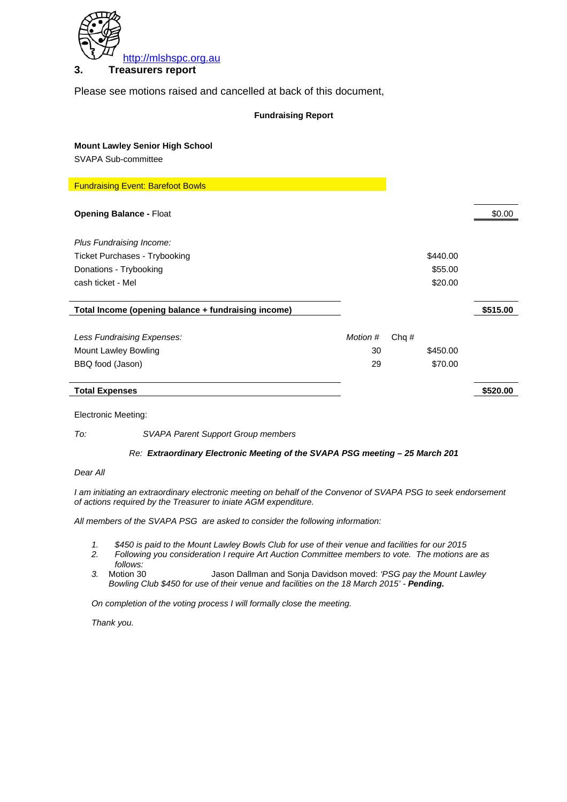

### **3. Treasurers report**

Please see motions raised and cancelled at back of this document,

#### **Fundraising Report**

| <b>Mount Lawley Senior High School</b>              |          |         |          |          |
|-----------------------------------------------------|----------|---------|----------|----------|
| SVAPA Sub-committee                                 |          |         |          |          |
|                                                     |          |         |          |          |
| <b>Fundraising Event: Barefoot Bowls</b>            |          |         |          |          |
|                                                     |          |         |          |          |
| <b>Opening Balance - Float</b>                      |          |         |          | \$0.00   |
|                                                     |          |         |          |          |
| Plus Fundraising Income:                            |          |         |          |          |
| <b>Ticket Purchases - Trybooking</b>                |          |         | \$440.00 |          |
| Donations - Trybooking                              |          |         | \$55.00  |          |
| cash ticket - Mel                                   |          |         | \$20.00  |          |
|                                                     |          |         |          |          |
| Total Income (opening balance + fundraising income) |          |         |          | \$515.00 |
|                                                     |          |         |          |          |
| Less Fundraising Expenses:                          | Motion # | Chq $#$ |          |          |
| Mount Lawley Bowling                                | 30       |         | \$450.00 |          |
| BBQ food (Jason)                                    | 29       |         | \$70.00  |          |
|                                                     |          |         |          |          |
| <b>Total Expenses</b>                               |          |         |          | \$520.00 |
|                                                     |          |         |          |          |

Electronic Meeting:

*To: SVAPA Parent Support Group members* 

#### *Re: Extraordinary Electronic Meeting of the SVAPA PSG meeting – 25 March 201*

#### *Dear All*

*I am initiating an extraordinary electronic meeting on behalf of the Convenor of SVAPA PSG to seek endorsement of actions required by the Treasurer to iniate AGM expenditure.* 

*All members of the SVAPA PSG are asked to consider the following information:* 

- *1. \$450 is paid to the Mount Lawley Bowls Club for use of their venue and facilities for our 2015*
- *2. Following you consideration I require Art Auction Committee members to vote. The motions are as follows:*
- *3.* Motion 30 Jason Dallman and Sonja Davidson moved: *'PSG pay the Mount Lawley*  Bowling Club \$450 for use of their venue and facilities on the 18 March 2015' - Pending.

*On completion of the voting process I will formally close the meeting.* 

*Thank you.*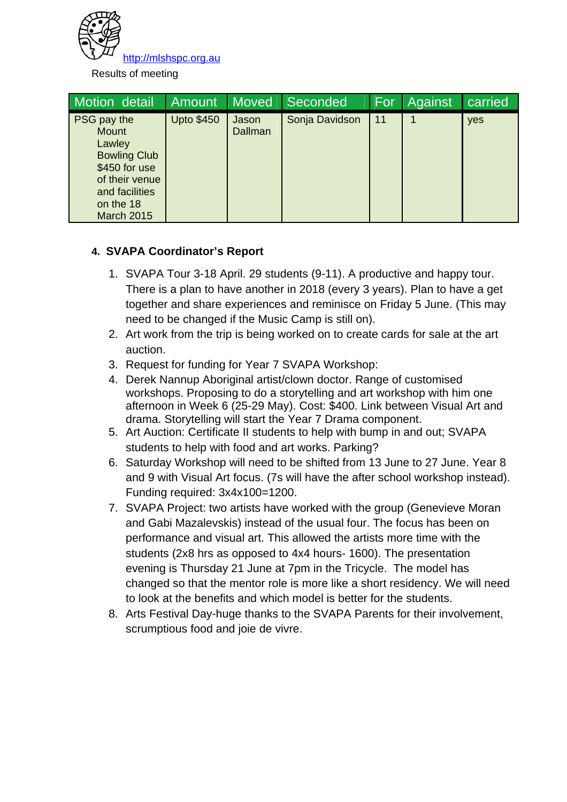

Results of meeting

| Motion detail                                                                                                                                       | <b>Amount</b>     | <b>Moved</b>     | Seconded       | For | Against | carried |
|-----------------------------------------------------------------------------------------------------------------------------------------------------|-------------------|------------------|----------------|-----|---------|---------|
| PSG pay the<br><b>Mount</b><br>Lawley<br><b>Bowling Club</b><br>\$450 for use<br>of their venue<br>and facilities<br>on the 18<br><b>March 2015</b> | <b>Upto \$450</b> | Jason<br>Dallman | Sonja Davidson | 11  |         | yes     |

# **4. SVAPA Coordinator's Report**

- 1. SVAPA Tour 3-18 April. 29 students (9-11). A productive and happy tour. There is a plan to have another in 2018 (every 3 years). Plan to have a get together and share experiences and reminisce on Friday 5 June. (This may need to be changed if the Music Camp is still on).
- 2. Art work from the trip is being worked on to create cards for sale at the art auction.
- 3. Request for funding for Year 7 SVAPA Workshop:
- 4. Derek Nannup Aboriginal artist/clown doctor. Range of customised workshops. Proposing to do a storytelling and art workshop with him one afternoon in Week 6 (25-29 May). Cost: \$400. Link between Visual Art and drama. Storytelling will start the Year 7 Drama component.
- 5. Art Auction: Certificate II students to help with bump in and out; SVAPA students to help with food and art works. Parking?
- 6. Saturday Workshop will need to be shifted from 13 June to 27 June. Year 8 and 9 with Visual Art focus. (7s will have the after school workshop instead). Funding required: 3x4x100=1200.
- 7. SVAPA Project: two artists have worked with the group (Genevieve Moran and Gabi Mazalevskis) instead of the usual four. The focus has been on performance and visual art. This allowed the artists more time with the students (2x8 hrs as opposed to 4x4 hours- 1600). The presentation evening is Thursday 21 June at 7pm in the Tricycle. The model has changed so that the mentor role is more like a short residency. We will need to look at the benefits and which model is better for the students.
- 8. Arts Festival Day-huge thanks to the SVAPA Parents for their involvement, scrumptious food and joie de vivre.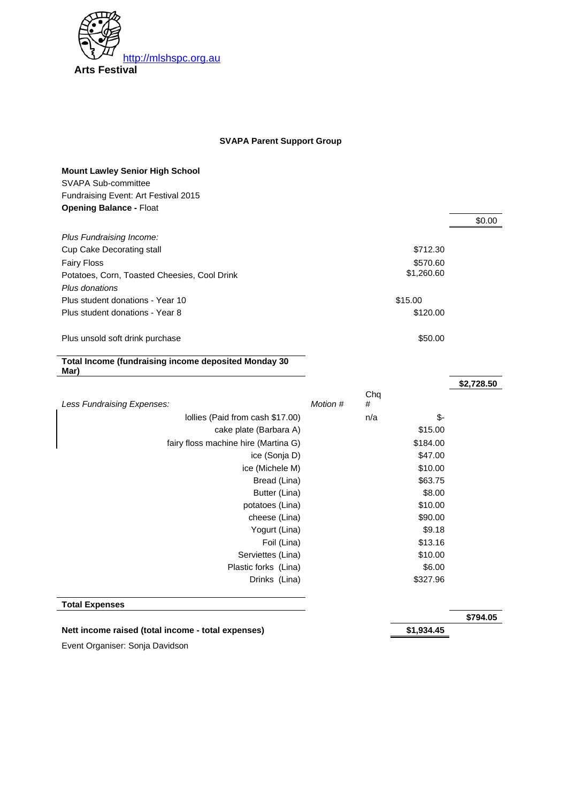

# **SVAPA Parent Support Group**

### **Mount Lawley Senior High School**  SVAPA Sub-committee Fundraising Event: Art Festival 2015

| Funuraising Event. Art Festival z |  |
|-----------------------------------|--|
| <b>Opening Balance - Float</b>    |  |

|                                                              |          |     |            | \$0.00     |
|--------------------------------------------------------------|----------|-----|------------|------------|
| Plus Fundraising Income:                                     |          |     |            |            |
| <b>Cup Cake Decorating stall</b>                             |          |     | \$712.30   |            |
| <b>Fairy Floss</b>                                           |          |     | \$570.60   |            |
| Potatoes, Corn, Toasted Cheesies, Cool Drink                 |          |     | \$1,260.60 |            |
| Plus donations                                               |          |     |            |            |
| Plus student donations - Year 10                             |          |     | \$15.00    |            |
| Plus student donations - Year 8                              |          |     | \$120.00   |            |
|                                                              |          |     |            |            |
| Plus unsold soft drink purchase                              |          |     | \$50.00    |            |
|                                                              |          |     |            |            |
| Total Income (fundraising income deposited Monday 30<br>Mar) |          |     |            |            |
|                                                              |          |     |            | \$2,728.50 |
|                                                              |          | Chq |            |            |
| <b>Less Fundraising Expenses:</b>                            | Motion # | #   |            |            |
| lollies (Paid from cash \$17.00)                             |          | n/a | \$-        |            |
| cake plate (Barbara A)                                       |          |     | \$15.00    |            |
| fairy floss machine hire (Martina G)                         |          |     | \$184.00   |            |
| ice (Sonja D)                                                |          |     | \$47.00    |            |
| ice (Michele M)                                              |          |     | \$10.00    |            |
| Bread (Lina)                                                 |          |     | \$63.75    |            |
| Butter (Lina)                                                |          |     | \$8.00     |            |
| potatoes (Lina)                                              |          |     | \$10.00    |            |
| cheese (Lina)                                                |          |     | \$90.00    |            |
| Yogurt (Lina)                                                |          |     | \$9.18     |            |
| Foil (Lina)                                                  |          |     | \$13.16    |            |
| Serviettes (Lina)                                            |          |     | \$10.00    |            |
| Plastic forks (Lina)                                         |          |     | \$6.00     |            |
| Drinks (Lina)                                                |          |     | \$327.96   |            |
|                                                              |          |     |            |            |
| <b>Total Expenses</b>                                        |          |     |            |            |

**\$794.05** 

#### Nett income raised (total income - total expenses) **\$1,934.45**

Event Organiser: Sonja Davidson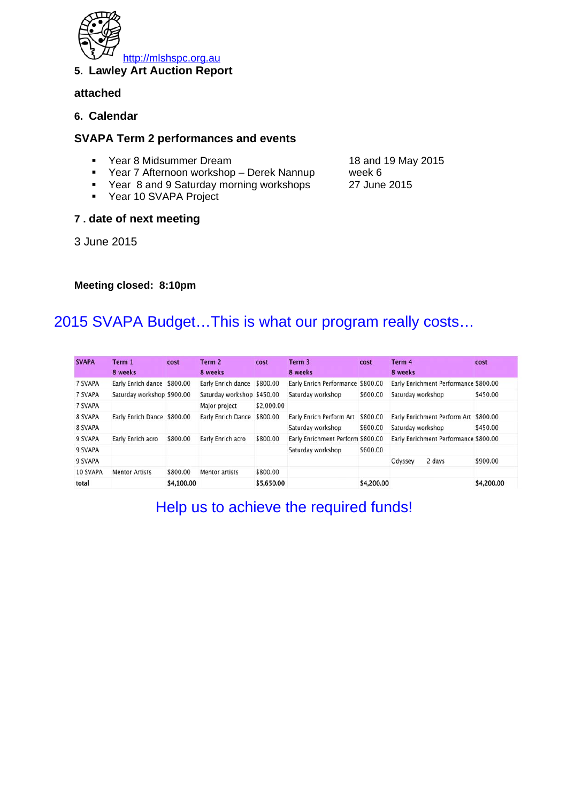

### **5. Lawley Art Auction Report**

# **attached**

**6. Calendar** 

# **SVAPA Term 2 performances and events**

- Year 8 Midsummer Dream 18 and 19 May 2015
- Year 7 Afternoon workshop Derek Nannup week 6
- Year 8 and 9 Saturday morning workshops 27 June 2015
- Year 10 SVAPA Project

### **7 . date of next meeting**

3 June 2015

#### **Meeting closed: 8:10pm**

# 2015 SVAPA Budget…This is what our program really costs…

| <b>SVAPA</b> | Term 1<br>8 weeks           | cost       | Term 2<br>8 weeks          | cost       | Term 3<br>8 weeks                 | cost       | Term 4<br>8 weeks                     |                                       | cost       |
|--------------|-----------------------------|------------|----------------------------|------------|-----------------------------------|------------|---------------------------------------|---------------------------------------|------------|
| 7 SVAPA      | Early Enrich dance \$800.00 |            | Early Enrich dance         | \$800.00   | Early Enrich Performance \$800.00 |            |                                       | Early Enrichment Performance \$800.00 |            |
|              |                             |            |                            |            |                                   |            |                                       |                                       |            |
| 7 SVAPA      | Saturday workshop \$900.00  |            | Saturday workshop \$450.00 |            | Saturday workshop                 | \$600.00   | Saturday workshop                     |                                       | \$450.00   |
| 7 SVAPA      |                             |            | Major project              | \$2,000.00 |                                   |            |                                       |                                       |            |
| 8 SVAPA      | Early Enrich Dance \$800.00 |            | Early Enrich Dance         | \$800.00   | Early Enrich Perform Art \$800.00 |            |                                       | Early Enrichment Perform Art \$800.00 |            |
| 8 SVAPA      |                             |            |                            |            | Saturday workshop                 | \$600.00   | Saturday workshop                     |                                       | \$450.00   |
| 9 SVAPA      | Early Enrich acro           | \$800.00   | Early Enrich acro          | \$800.00   | Early Enrichment Perform \$800.00 |            | Early Enrichment Performance \$800.00 |                                       |            |
| 9 SVAPA      |                             |            |                            |            | Saturday workshop                 | \$600.00   |                                       |                                       |            |
| 9 SVAPA      |                             |            |                            |            |                                   |            | Odyssey                               | 2 days                                | \$900.00   |
| 10 SVAPA     | <b>Mentor Artists</b>       | \$800.00   | Mentor artists             | \$800.00   |                                   |            |                                       |                                       |            |
| total        |                             | \$4,100.00 |                            | \$5,650.00 |                                   | \$4,200.00 |                                       |                                       | \$4,200.00 |

Help us to achieve the required funds!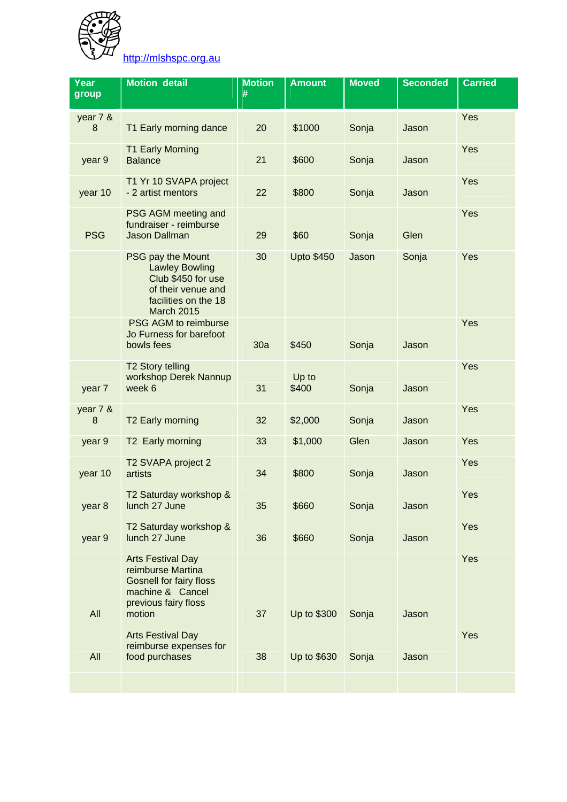

http://mlshspc.org.au

| Year<br>group | <b>Motion detail</b>                                                                                                                  | <b>Motion</b><br># | <b>Amount</b>     | <b>Moved</b> | <b>Seconded</b> | <b>Carried</b> |
|---------------|---------------------------------------------------------------------------------------------------------------------------------------|--------------------|-------------------|--------------|-----------------|----------------|
| year 7 &<br>8 | T1 Early morning dance                                                                                                                | 20                 | \$1000            | Sonja        | Jason           | Yes            |
| year 9        | <b>T1 Early Morning</b><br><b>Balance</b>                                                                                             | 21                 | \$600             | Sonja        | Jason           | Yes            |
| year 10       | T1 Yr 10 SVAPA project<br>- 2 artist mentors                                                                                          | 22                 | \$800             | Sonja        | Jason           | Yes            |
| <b>PSG</b>    | PSG AGM meeting and<br>fundraiser - reimburse<br><b>Jason Dallman</b>                                                                 | 29                 | \$60              | Sonja        | Glen            | Yes            |
|               | PSG pay the Mount<br><b>Lawley Bowling</b><br>Club \$450 for use<br>of their venue and<br>facilities on the 18<br><b>March 2015</b>   | 30                 | <b>Upto \$450</b> | Jason        | Sonja           | Yes            |
|               | PSG AGM to reimburse<br>Jo Furness for barefoot<br>bowls fees                                                                         | 30a                | \$450             | Sonja        | Jason           | Yes            |
| year 7        | <b>T2 Story telling</b><br>workshop Derek Nannup<br>week 6                                                                            | 31                 | Up to<br>\$400    | Sonja        | Jason           | Yes            |
| year 7 &<br>8 | T2 Early morning                                                                                                                      | 32                 | \$2,000           | Sonja        | Jason           | Yes            |
| year 9        | T2 Early morning                                                                                                                      | 33                 | \$1,000           | Glen         | Jason           | Yes            |
| year 10       | T2 SVAPA project 2<br>artists                                                                                                         | 34                 | \$800             | Sonja        | Jason           | Yes            |
| year 8        | T2 Saturday workshop &<br>lunch 27 June                                                                                               | 35                 | \$660             | Sonja        | Jason           | Yes            |
| year 9        | T2 Saturday workshop &<br>lunch 27 June                                                                                               | 36                 | \$660             | Sonja        | Jason           | Yes            |
| All           | <b>Arts Festival Day</b><br>reimburse Martina<br><b>Gosnell for fairy floss</b><br>machine & Cancel<br>previous fairy floss<br>motion | 37                 | Up to \$300       | Sonja        | Jason           | Yes            |
| All           | <b>Arts Festival Day</b><br>reimburse expenses for<br>food purchases                                                                  | 38                 | Up to \$630       | Sonja        | Jason           | Yes            |
|               |                                                                                                                                       |                    |                   |              |                 |                |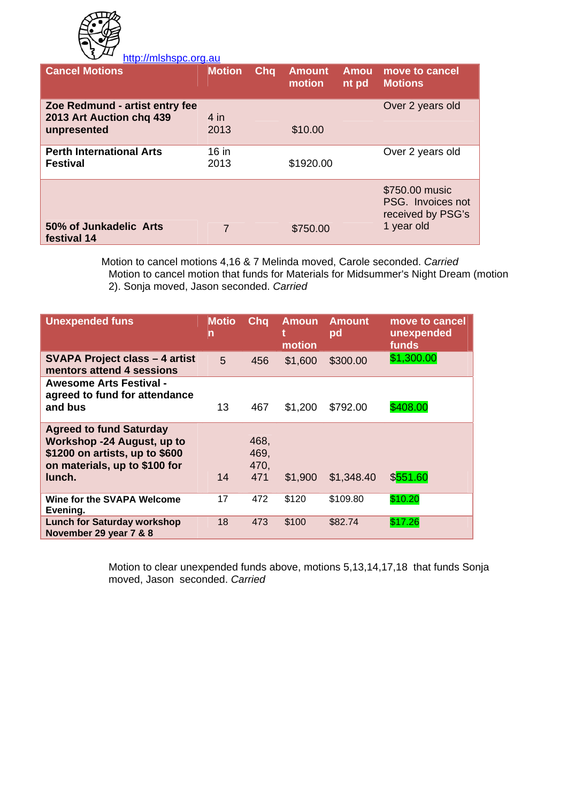

http://mlshspc.org.au **Cancel Motions Motion Cha Amount motion Amou nt pd move to cancel Motions Zoe Redmund - artist entry fee 2013 Art Auction chq 439 unpresented**  4 in 2013 \$10.00 Over 2 years old **Perth International Arts Festival**   $16 in$ 2013 \$1920.00 Over 2 years old **50% of Junkadelic Arts festival 14**  7 \$750.00 \$750.00 music PSG. Invoices not received by PSG's 1 year old

> Motion to cancel motions 4,16 & 7 Melinda moved, Carole seconded. *Carried*  Motion to cancel motion that funds for Materials for Midsummer's Night Dream (motion 2). Sonja moved, Jason seconded. *Carried*

| <b>Unexpended funs</b>                                                                                                                    | <b>Motio</b><br>n | Chq                         | <b>Amoun</b><br>motion | <b>Amount</b><br>pd | move to cancel<br>unexpended<br>funds |
|-------------------------------------------------------------------------------------------------------------------------------------------|-------------------|-----------------------------|------------------------|---------------------|---------------------------------------|
| <b>SVAPA Project class - 4 artist</b><br>mentors attend 4 sessions                                                                        | 5                 | 456                         | \$1,600                | \$300.00            | \$1,300.00                            |
| <b>Awesome Arts Festival -</b><br>agreed to fund for attendance<br>and bus                                                                | 13                | 467                         | \$1,200                | \$792.00            | \$408.00                              |
| <b>Agreed to fund Saturday</b><br>Workshop -24 August, up to<br>\$1200 on artists, up to \$600<br>on materials, up to \$100 for<br>lunch. | 14                | 468,<br>469,<br>470,<br>471 | \$1,900                | \$1,348.40          | \$551.60                              |
| Wine for the SVAPA Welcome<br>Evening.                                                                                                    | 17                | 472                         | \$120                  | \$109.80            | \$10.20                               |
| <b>Lunch for Saturday workshop</b><br>November 29 year 7 & 8                                                                              | 18                | 473                         | \$100                  | \$82.74             | \$17.26                               |

Motion to clear unexpended funds above, motions 5,13,14,17,18 that funds Sonja moved, Jason seconded. *Carried*